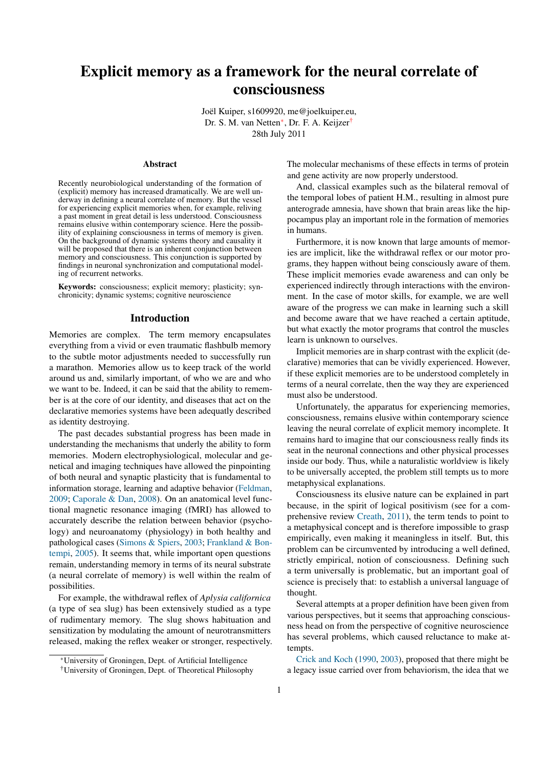# Explicit memory as a framework for the neural correlate of consciousness

Joël Kuiper, s1609920, me@joelkuiper.eu, Dr. S. M. van Netten<sup>∗</sup>, Dr. F. A. Keijzer<sup>†</sup> 28th July 2011

#### Abstract

Recently neurobiological understanding of the formation of (explicit) memory has increased dramatically. We are well underway in defining a neural correlate of memory. But the vessel for experiencing explicit memories when, for example, reliving a past moment in great detail is less understood. Consciousness remains elusive within contemporary science. Here the possibility of explaining consciousness in terms of memory is given. On the background of dynamic systems theory and causality it will be proposed that there is an inherent conjunction between memory and consciousness. This conjunction is supported by findings in neuronal synchronization and computational modeling of recurrent networks.

Keywords: consciousness; explicit memory; plasticity; synchronicity; dynamic systems; cognitive neuroscience

## Introduction

Memories are complex. The term memory encapsulates everything from a vivid or even traumatic flashbulb memory to the subtle motor adjustments needed to successfully run a marathon. Memories allow us to keep track of the world around us and, similarly important, of who we are and who we want to be. Indeed, it can be said that the ability to remember is at the core of our identity, and diseases that act on the declarative memories systems have been adequatly described as identity destroying.

The past decades substantial progress has been made in understanding the mechanisms that underly the ability to form memories. Modern electrophysiological, molecular and genetical and imaging techniques have allowed the pinpointing of both neural and synaptic plasticity that is fundamental to information storage, learning and adaptive behavior [\(Feldman,](#page-9-0) [2009;](#page-9-0) [Caporale & Dan,](#page-9-1) [2008\)](#page-9-1). On an anatomical level functional magnetic resonance imaging (fMRI) has allowed to accurately describe the relation between behavior (psychology) and neuroanatomy (physiology) in both healthy and pathological cases [\(Simons & Spiers,](#page-10-0) [2003;](#page-10-0) [Frankland & Bon](#page-9-2)[tempi,](#page-9-2) [2005\)](#page-9-2). It seems that, while important open questions remain, understanding memory in terms of its neural substrate (a neural correlate of memory) is well within the realm of possibilities.

For example, the withdrawal reflex of *Aplysia californica* (a type of sea slug) has been extensively studied as a type of rudimentary memory. The slug shows habituation and sensitization by modulating the amount of neurotransmitters released, making the reflex weaker or stronger, respectively. The molecular mechanisms of these effects in terms of protein and gene activity are now properly understood.

And, classical examples such as the bilateral removal of the temporal lobes of patient H.M., resulting in almost pure anterograde amnesia, have shown that brain areas like the hippocampus play an important role in the formation of memories in humans.

Furthermore, it is now known that large amounts of memories are implicit, like the withdrawal reflex or our motor programs, they happen without being consciously aware of them. These implicit memories evade awareness and can only be experienced indirectly through interactions with the environment. In the case of motor skills, for example, we are well aware of the progress we can make in learning such a skill and become aware that we have reached a certain aptitude, but what exactly the motor programs that control the muscles learn is unknown to ourselves.

Implicit memories are in sharp contrast with the explicit (declarative) memories that can be vividly experienced. However, if these explicit memories are to be understood completely in terms of a neural correlate, then the way they are experienced must also be understood.

Unfortunately, the apparatus for experiencing memories, consciousness, remains elusive within contemporary science leaving the neural correlate of explicit memory incomplete. It remains hard to imagine that our consciousness really finds its seat in the neuronal connections and other physical processes inside our body. Thus, while a naturalistic worldview is likely to be universally accepted, the problem still tempts us to more metaphysical explanations.

Consciousness its elusive nature can be explained in part because, in the spirit of logical positivism (see for a comprehensive review [Creath,](#page-9-3) [2011\)](#page-9-3), the term tends to point to a metaphysical concept and is therefore impossible to grasp empirically, even making it meaningless in itself. But, this problem can be circumvented by introducing a well defined, strictly empirical, notion of consciousness. Defining such a term universally is problematic, but an important goal of science is precisely that: to establish a universal language of thought.

Several attempts at a proper definition have been given from various perspectives, but it seems that approaching consciousness head on from the perspective of cognitive neuroscience has several problems, which caused reluctance to make attempts.

[Crick and Koch](#page-9-4) [\(1990,](#page-9-4) [2003\)](#page-9-5), proposed that there might be a legacy issue carried over from behaviorism, the idea that we

<sup>∗</sup>University of Groningen, Dept. of Artificial Intelligence

<sup>†</sup>University of Groningen, Dept. of Theoretical Philosophy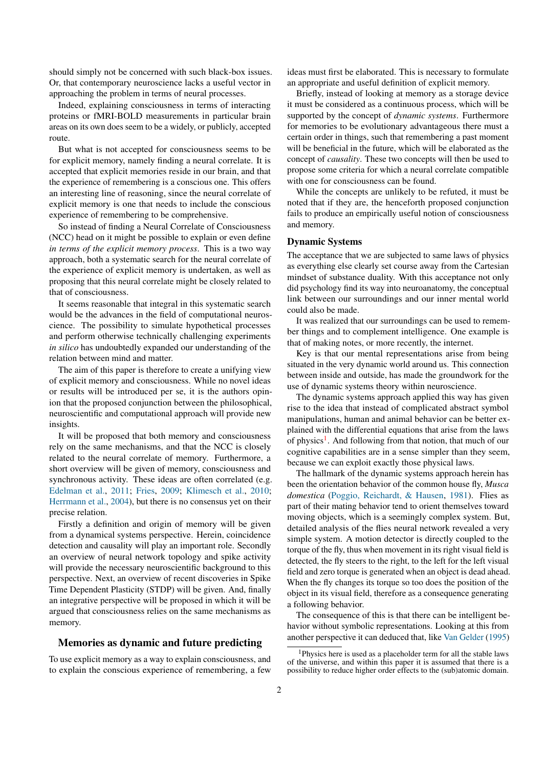should simply not be concerned with such black-box issues. Or, that contemporary neuroscience lacks a useful vector in approaching the problem in terms of neural processes.

Indeed, explaining consciousness in terms of interacting proteins or fMRI-BOLD measurements in particular brain areas on its own does seem to be a widely, or publicly, accepted route.

But what is not accepted for consciousness seems to be for explicit memory, namely finding a neural correlate. It is accepted that explicit memories reside in our brain, and that the experience of remembering is a conscious one. This offers an interesting line of reasoning, since the neural correlate of explicit memory is one that needs to include the conscious experience of remembering to be comprehensive.

So instead of finding a Neural Correlate of Consciousness (NCC) head on it might be possible to explain or even define *in terms of the explicit memory process*. This is a two way approach, both a systematic search for the neural correlate of the experience of explicit memory is undertaken, as well as proposing that this neural correlate might be closely related to that of consciousness.

It seems reasonable that integral in this systematic search would be the advances in the field of computational neuroscience. The possibility to simulate hypothetical processes and perform otherwise technically challenging experiments *in silico* has undoubtedly expanded our understanding of the relation between mind and matter.

The aim of this paper is therefore to create a unifying view of explicit memory and consciousness. While no novel ideas or results will be introduced per se, it is the authors opinion that the proposed conjunction between the philosophical, neuroscientific and computational approach will provide new insights.

It will be proposed that both memory and consciousness rely on the same mechanisms, and that the NCC is closely related to the neural correlate of memory. Furthermore, a short overview will be given of memory, consciousness and synchronous activity. These ideas are often correlated (e.g. [Edelman et al.,](#page-9-6) [2011;](#page-9-6) [Fries,](#page-9-7) [2009;](#page-9-7) [Klimesch et al.,](#page-10-1) [2010;](#page-10-1) [Herrmann et al.,](#page-9-8) [2004\)](#page-9-8), but there is no consensus yet on their precise relation.

Firstly a definition and origin of memory will be given from a dynamical systems perspective. Herein, coincidence detection and causality will play an important role. Secondly an overview of neural network topology and spike activity will provide the necessary neuroscientific background to this perspective. Next, an overview of recent discoveries in Spike Time Dependent Plasticity (STDP) will be given. And, finally an integrative perspective will be proposed in which it will be argued that consciousness relies on the same mechanisms as memory.

# Memories as dynamic and future predicting

To use explicit memory as a way to explain consciousness, and to explain the conscious experience of remembering, a few

ideas must first be elaborated. This is necessary to formulate an appropriate and useful definition of explicit memory.

Briefly, instead of looking at memory as a storage device it must be considered as a continuous process, which will be supported by the concept of *dynamic systems*. Furthermore for memories to be evolutionary advantageous there must a certain order in things, such that remembering a past moment will be beneficial in the future, which will be elaborated as the concept of *causality*. These two concepts will then be used to propose some criteria for which a neural correlate compatible with one for consciousness can be found.

While the concepts are unlikely to be refuted, it must be noted that if they are, the henceforth proposed conjunction fails to produce an empirically useful notion of consciousness and memory.

#### Dynamic Systems

The acceptance that we are subjected to same laws of physics as everything else clearly set course away from the Cartesian mindset of substance duality. With this acceptance not only did psychology find its way into neuroanatomy, the conceptual link between our surroundings and our inner mental world could also be made.

It was realized that our surroundings can be used to remember things and to complement intelligence. One example is that of making notes, or more recently, the internet.

Key is that our mental representations arise from being situated in the very dynamic world around us. This connection between inside and outside, has made the groundwork for the use of dynamic systems theory within neuroscience.

The dynamic systems approach applied this way has given rise to the idea that instead of complicated abstract symbol manipulations, human and animal behavior can be better explained with the differential equations that arise from the laws of physics<sup>[1](#page-1-0)</sup>. And following from that notion, that much of our cognitive capabilities are in a sense simpler than they seem, because we can exploit exactly those physical laws.

The hallmark of the dynamic systems approach herein has been the orientation behavior of the common house fly, *Musca domestica* [\(Poggio, Reichardt, & Hausen,](#page-10-2) [1981\)](#page-10-2). Flies as part of their mating behavior tend to orient themselves toward moving objects, which is a seemingly complex system. But, detailed analysis of the flies neural network revealed a very simple system. A motion detector is directly coupled to the torque of the fly, thus when movement in its right visual field is detected, the fly steers to the right, to the left for the left visual field and zero torque is generated when an object is dead ahead. When the fly changes its torque so too does the position of the object in its visual field, therefore as a consequence generating a following behavior.

The consequence of this is that there can be intelligent behavior without symbolic representations. Looking at this from another perspective it can deduced that, like [Van Gelder](#page-10-3) [\(1995\)](#page-10-3)

<span id="page-1-0"></span><sup>&</sup>lt;sup>1</sup>Physics here is used as a placeholder term for all the stable laws of the universe, and within this paper it is assumed that there is a possibility to reduce higher order effects to the (sub)atomic domain.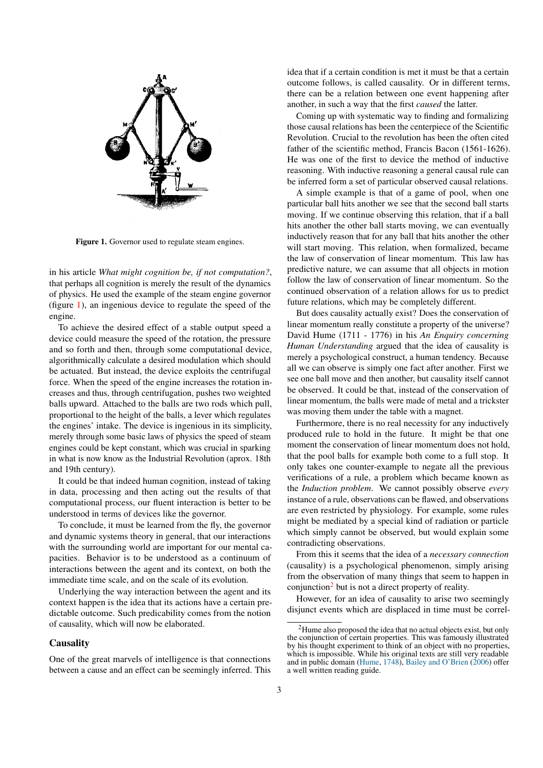<span id="page-2-0"></span>

Figure 1. Governor used to regulate steam engines.

in his article *What might cognition be, if not computation?*, that perhaps all cognition is merely the result of the dynamics of physics. He used the example of the steam engine governor (figure [1\)](#page-2-0), an ingenious device to regulate the speed of the engine.

To achieve the desired effect of a stable output speed a device could measure the speed of the rotation, the pressure and so forth and then, through some computational device, algorithmically calculate a desired modulation which should be actuated. But instead, the device exploits the centrifugal force. When the speed of the engine increases the rotation increases and thus, through centrifugation, pushes two weighted balls upward. Attached to the balls are two rods which pull, proportional to the height of the balls, a lever which regulates the engines' intake. The device is ingenious in its simplicity, merely through some basic laws of physics the speed of steam engines could be kept constant, which was crucial in sparking in what is now know as the Industrial Revolution (aprox. 18th and 19th century).

It could be that indeed human cognition, instead of taking in data, processing and then acting out the results of that computational process, our fluent interaction is better to be understood in terms of devices like the governor.

To conclude, it must be learned from the fly, the governor and dynamic systems theory in general, that our interactions with the surrounding world are important for our mental capacities. Behavior is to be understood as a continuum of interactions between the agent and its context, on both the immediate time scale, and on the scale of its evolution.

Underlying the way interaction between the agent and its context happen is the idea that its actions have a certain predictable outcome. Such predicability comes from the notion of causality, which will now be elaborated.

## **Causality**

One of the great marvels of intelligence is that connections between a cause and an effect can be seemingly inferred. This

idea that if a certain condition is met it must be that a certain outcome follows, is called causality. Or in different terms, there can be a relation between one event happening after another, in such a way that the first *caused* the latter.

Coming up with systematic way to finding and formalizing those causal relations has been the centerpiece of the Scientific Revolution. Crucial to the revolution has been the often cited father of the scientific method, Francis Bacon (1561-1626). He was one of the first to device the method of inductive reasoning. With inductive reasoning a general causal rule can be inferred form a set of particular observed causal relations.

A simple example is that of a game of pool, when one particular ball hits another we see that the second ball starts moving. If we continue observing this relation, that if a ball hits another the other ball starts moving, we can eventually inductively reason that for any ball that hits another the other will start moving. This relation, when formalized, became the law of conservation of linear momentum. This law has predictive nature, we can assume that all objects in motion follow the law of conservation of linear momentum. So the continued observation of a relation allows for us to predict future relations, which may be completely different.

But does causality actually exist? Does the conservation of linear momentum really constitute a property of the universe? David Hume (1711 - 1776) in his *An Enquiry concerning Human Understanding* argued that the idea of causality is merely a psychological construct, a human tendency. Because all we can observe is simply one fact after another. First we see one ball move and then another, but causality itself cannot be observed. It could be that, instead of the conservation of linear momentum, the balls were made of metal and a trickster was moving them under the table with a magnet.

Furthermore, there is no real necessity for any inductively produced rule to hold in the future. It might be that one moment the conservation of linear momentum does not hold, that the pool balls for example both come to a full stop. It only takes one counter-example to negate all the previous verifications of a rule, a problem which became known as the *Induction problem*. We cannot possibly observe *every* instance of a rule, observations can be flawed, and observations are even restricted by physiology. For example, some rules might be mediated by a special kind of radiation or particle which simply cannot be observed, but would explain some contradicting observations.

From this it seems that the idea of a *necessary connection* (causality) is a psychological phenomenon, simply arising from the observation of many things that seem to happen in conjunction<sup>[2](#page-2-1)</sup> but is not a direct property of reality.

However, for an idea of causality to arise two seemingly disjunct events which are displaced in time must be correl-

<span id="page-2-1"></span><sup>2</sup>Hume also proposed the idea that no actual objects exist, but only the conjunction of certain properties. This was famously illustrated by his thought experiment to think of an object with no properties, which is impossible. While his original texts are still very readable and in public domain [\(Hume,](#page-10-4) [1748\)](#page-10-4), [Bailey and O'Brien](#page-9-9) [\(2006\)](#page-9-9) offer a well written reading guide.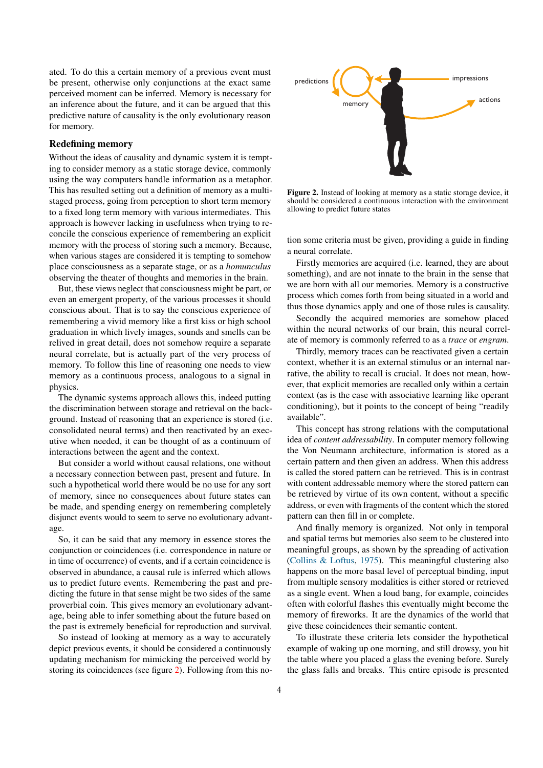ated. To do this a certain memory of a previous event must be present, otherwise only conjunctions at the exact same perceived moment can be inferred. Memory is necessary for an inference about the future, and it can be argued that this predictive nature of causality is the only evolutionary reason for memory.

# Redefining memory

Without the ideas of causality and dynamic system it is tempting to consider memory as a static storage device, commonly using the way computers handle information as a metaphor. This has resulted setting out a definition of memory as a multistaged process, going from perception to short term memory to a fixed long term memory with various intermediates. This approach is however lacking in usefulness when trying to reconcile the conscious experience of remembering an explicit memory with the process of storing such a memory. Because, when various stages are considered it is tempting to somehow place consciousness as a separate stage, or as a *homunculus* observing the theater of thoughts and memories in the brain.

But, these views neglect that consciousness might be part, or even an emergent property, of the various processes it should conscious about. That is to say the conscious experience of remembering a vivid memory like a first kiss or high school graduation in which lively images, sounds and smells can be relived in great detail, does not somehow require a separate neural correlate, but is actually part of the very process of memory. To follow this line of reasoning one needs to view memory as a continuous process, analogous to a signal in physics.

The dynamic systems approach allows this, indeed putting the discrimination between storage and retrieval on the background. Instead of reasoning that an experience is stored (i.e. consolidated neural terms) and then reactivated by an executive when needed, it can be thought of as a continuum of interactions between the agent and the context.

But consider a world without causal relations, one without a necessary connection between past, present and future. In such a hypothetical world there would be no use for any sort of memory, since no consequences about future states can be made, and spending energy on remembering completely disjunct events would to seem to serve no evolutionary advantage.

So, it can be said that any memory in essence stores the conjunction or coincidences (i.e. correspondence in nature or in time of occurrence) of events, and if a certain coincidence is observed in abundance, a causal rule is inferred which allows us to predict future events. Remembering the past and predicting the future in that sense might be two sides of the same proverbial coin. This gives memory an evolutionary advantage, being able to infer something about the future based on the past is extremely beneficial for reproduction and survival.

So instead of looking at memory as a way to accurately depict previous events, it should be considered a continuously updating mechanism for mimicking the perceived world by storing its coincidences (see figure [2\)](#page-3-0). Following from this no-

<span id="page-3-0"></span>

Figure 2. Instead of looking at memory as a static storage device, it should be considered a continuous interaction with the environment allowing to predict future states

tion some criteria must be given, providing a guide in finding a neural correlate.

Firstly memories are acquired (i.e. learned, they are about something), and are not innate to the brain in the sense that we are born with all our memories. Memory is a constructive process which comes forth from being situated in a world and thus those dynamics apply and one of those rules is causality.

Secondly the acquired memories are somehow placed within the neural networks of our brain, this neural correlate of memory is commonly referred to as a *trace* or *engram*.

Thirdly, memory traces can be reactivated given a certain context, whether it is an external stimulus or an internal narrative, the ability to recall is crucial. It does not mean, however, that explicit memories are recalled only within a certain context (as is the case with associative learning like operant conditioning), but it points to the concept of being "readily available".

This concept has strong relations with the computational idea of *content addressability*. In computer memory following the Von Neumann architecture, information is stored as a certain pattern and then given an address. When this address is called the stored pattern can be retrieved. This is in contrast with content addressable memory where the stored pattern can be retrieved by virtue of its own content, without a specific address, or even with fragments of the content which the stored pattern can then fill in or complete.

And finally memory is organized. Not only in temporal and spatial terms but memories also seem to be clustered into meaningful groups, as shown by the spreading of activation [\(Collins & Loftus,](#page-9-10) [1975\)](#page-9-10). This meaningful clustering also happens on the more basal level of perceptual binding, input from multiple sensory modalities is either stored or retrieved as a single event. When a loud bang, for example, coincides often with colorful flashes this eventually might become the memory of fireworks. It are the dynamics of the world that give these coincidences their semantic content.

To illustrate these criteria lets consider the hypothetical example of waking up one morning, and still drowsy, you hit the table where you placed a glass the evening before. Surely the glass falls and breaks. This entire episode is presented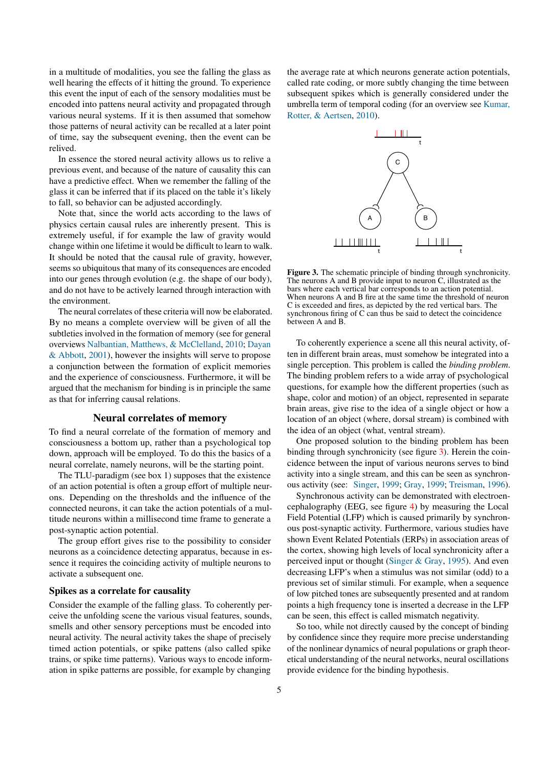in a multitude of modalities, you see the falling the glass as well hearing the effects of it hitting the ground. To experience this event the input of each of the sensory modalities must be encoded into pattens neural activity and propagated through various neural systems. If it is then assumed that somehow those patterns of neural activity can be recalled at a later point of time, say the subsequent evening, then the event can be relived.

In essence the stored neural activity allows us to relive a previous event, and because of the nature of causality this can have a predictive effect. When we remember the falling of the glass it can be inferred that if its placed on the table it's likely to fall, so behavior can be adjusted accordingly.

Note that, since the world acts according to the laws of physics certain causal rules are inherently present. This is extremely useful, if for example the law of gravity would change within one lifetime it would be difficult to learn to walk. It should be noted that the causal rule of gravity, however, seems so ubiquitous that many of its consequences are encoded into our genes through evolution (e.g. the shape of our body), and do not have to be actively learned through interaction with the environment.

The neural correlates of these criteria will now be elaborated. By no means a complete overview will be given of all the subtleties involved in the formation of memory (see for general overviews [Nalbantian, Matthews, & McClelland,](#page-10-5) [2010;](#page-10-5) [Dayan](#page-9-11) [& Abbott,](#page-9-11) [2001\)](#page-9-11), however the insights will serve to propose a conjunction between the formation of explicit memories and the experience of consciousness. Furthermore, it will be argued that the mechanism for binding is in principle the same as that for inferring causal relations.

### Neural correlates of memory

To find a neural correlate of the formation of memory and consciousness a bottom up, rather than a psychological top down, approach will be employed. To do this the basics of a neural correlate, namely neurons, will be the starting point.

The TLU-paradigm (see box 1) supposes that the existence of an action potential is often a group effort of multiple neurons. Depending on the thresholds and the influence of the connected neurons, it can take the action potentials of a multitude neurons within a millisecond time frame to generate a post-synaptic action potential.

The group effort gives rise to the possibility to consider neurons as a coincidence detecting apparatus, because in essence it requires the coinciding activity of multiple neurons to activate a subsequent one.

#### Spikes as a correlate for causality

Consider the example of the falling glass. To coherently perceive the unfolding scene the various visual features, sounds, smells and other sensory perceptions must be encoded into neural activity. The neural activity takes the shape of precisely timed action potentials, or spike pattens (also called spike trains, or spike time patterns). Various ways to encode information in spike patterns are possible, for example by changing

the average rate at which neurons generate action potentials, called rate coding, or more subtly changing the time between subsequent spikes which is generally considered under the umbrella term of temporal coding (for an overview see [Kumar,](#page-10-6) [Rotter, & Aertsen,](#page-10-6) [2010\)](#page-10-6).

<span id="page-4-0"></span>

Figure 3. The schematic principle of binding through synchronicity. The neurons A and B provide input to neuron C, illustrated as the bars where each vertical bar corresponds to an action potential. When neurons A and B fire at the same time the threshold of neuron C is exceeded and fires, as depicted by the red vertical bars. The synchronous firing of C can thus be said to detect the coincidence between A and B.

To coherently experience a scene all this neural activity, often in different brain areas, must somehow be integrated into a single perception. This problem is called the *binding problem*. The binding problem refers to a wide array of psychological questions, for example how the different properties (such as shape, color and motion) of an object, represented in separate brain areas, give rise to the idea of a single object or how a location of an object (where, dorsal stream) is combined with the idea of an object (what, ventral stream).

One proposed solution to the binding problem has been binding through synchronicity (see figure [3\)](#page-4-0). Herein the coincidence between the input of various neurons serves to bind activity into a single stream, and this can be seen as synchronous activity (see: [Singer,](#page-10-7) [1999;](#page-10-7) [Gray,](#page-9-12) [1999;](#page-9-12) [Treisman,](#page-10-8) [1996\)](#page-10-8).

Synchronous activity can be demonstrated with electroencephalography (EEG, see figure [4\)](#page-5-0) by measuring the Local Field Potential (LFP) which is caused primarily by synchronous post-synaptic activity. Furthermore, various studies have shown Event Related Potentials (ERPs) in association areas of the cortex, showing high levels of local synchronicity after a perceived input or thought [\(Singer & Gray,](#page-10-9) [1995\)](#page-10-9). And even decreasing LFP's when a stimulus was not similar (odd) to a previous set of similar stimuli. For example, when a sequence of low pitched tones are subsequently presented and at random points a high frequency tone is inserted a decrease in the LFP can be seen, this effect is called mismatch negativity.

So too, while not directly caused by the concept of binding by confidence since they require more precise understanding of the nonlinear dynamics of neural populations or graph theoretical understanding of the neural networks, neural oscillations provide evidence for the binding hypothesis.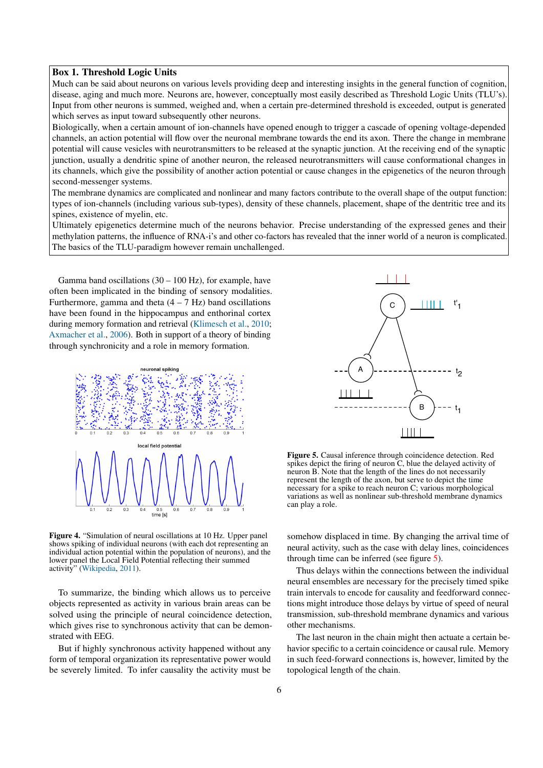## Box 1. Threshold Logic Units

Much can be said about neurons on various levels providing deep and interesting insights in the general function of cognition, disease, aging and much more. Neurons are, however, conceptually most easily described as Threshold Logic Units (TLU's). Input from other neurons is summed, weighed and, when a certain pre-determined threshold is exceeded, output is generated which serves as input toward subsequently other neurons.

Biologically, when a certain amount of ion-channels have opened enough to trigger a cascade of opening voltage-depended channels, an action potential will flow over the neuronal membrane towards the end its axon. There the change in membrane potential will cause vesicles with neurotransmitters to be released at the synaptic junction. At the receiving end of the synaptic junction, usually a dendritic spine of another neuron, the released neurotransmitters will cause conformational changes in its channels, which give the possibility of another action potential or cause changes in the epigenetics of the neuron through second-messenger systems.

The membrane dynamics are complicated and nonlinear and many factors contribute to the overall shape of the output function: types of ion-channels (including various sub-types), density of these channels, placement, shape of the dentritic tree and its spines, existence of myelin, etc.

Ultimately epigenetics determine much of the neurons behavior. Precise understanding of the expressed genes and their methylation patterns, the influence of RNA-i's and other co-factors has revealed that the inner world of a neuron is complicated. The basics of the TLU-paradigm however remain unchallenged.

Gamma band oscillations  $(30 – 100 Hz)$ , for example, have often been implicated in the binding of sensory modalities. Furthermore, gamma and theta  $(4 - 7 \text{ Hz})$  band oscillations have been found in the hippocampus and enthorinal cortex during memory formation and retrieval [\(Klimesch et al.,](#page-10-1) [2010;](#page-10-1) [Axmacher et al.,](#page-9-13) [2006\)](#page-9-13). Both in support of a theory of binding through synchronicity and a role in memory formation.

<span id="page-5-0"></span>

Figure 4. "Simulation of neural oscillations at 10 Hz. Upper panel shows spiking of individual neurons (with each dot representing an individual action potential within the population of neurons), and the lower panel the Local Field Potential reflecting their summed activity" [\(Wikipedia,](#page-10-10) [2011\)](#page-10-10).

To summarize, the binding which allows us to perceive objects represented as activity in various brain areas can be solved using the principle of neural coincidence detection, which gives rise to synchronous activity that can be demonstrated with EEG.

But if highly synchronous activity happened without any form of temporal organization its representative power would be severely limited. To infer causality the activity must be

<span id="page-5-1"></span>

Figure 5. Causal inference through coincidence detection. Red spikes depict the firing of neuron  $\tilde{C}$ , blue the delayed activity of neuron B. Note that the length of the lines do not necessarily represent the length of the axon, but serve to depict the time necessary for a spike to reach neuron C; various morphological variations as well as nonlinear sub-threshold membrane dynamics can play a role.

somehow displaced in time. By changing the arrival time of neural activity, such as the case with delay lines, coincidences through time can be inferred (see figure [5\)](#page-5-1).

Thus delays within the connections between the individual neural ensembles are necessary for the precisely timed spike train intervals to encode for causality and feedforward connections might introduce those delays by virtue of speed of neural transmission, sub-threshold membrane dynamics and various other mechanisms.

The last neuron in the chain might then actuate a certain behavior specific to a certain coincidence or causal rule. Memory in such feed-forward connections is, however, limited by the topological length of the chain.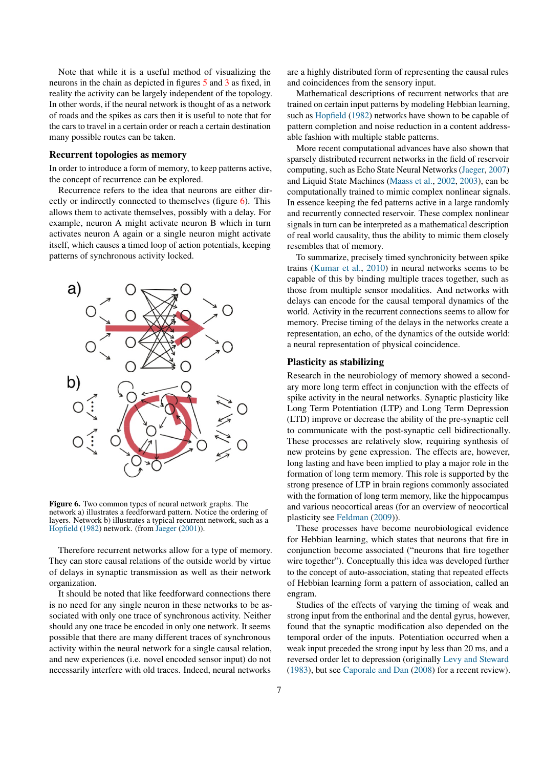Note that while it is a useful method of visualizing the neurons in the chain as depicted in figures [5](#page-5-1) and [3](#page-4-0) as fixed, in reality the activity can be largely independent of the topology. In other words, if the neural network is thought of as a network of roads and the spikes as cars then it is useful to note that for the cars to travel in a certain order or reach a certain destination many possible routes can be taken.

#### Recurrent topologies as memory

In order to introduce a form of memory, to keep patterns active, the concept of recurrence can be explored.

Recurrence refers to the idea that neurons are either directly or indirectly connected to themselves (figure [6\)](#page-6-0). This allows them to activate themselves, possibly with a delay. For example, neuron A might activate neuron B which in turn activates neuron A again or a single neuron might activate itself, which causes a timed loop of action potentials, keeping patterns of synchronous activity locked.

<span id="page-6-0"></span>

Figure 6. Two common types of neural network graphs. The network a) illustrates a feedforward pattern. Notice the ordering of layers. Network b) illustrates a typical recurrent network, such as a [Hopfield](#page-9-14) [\(1982\)](#page-9-14) network. (from [Jaeger](#page-10-11) [\(2001\)](#page-10-11)).

Therefore recurrent networks allow for a type of memory. They can store causal relations of the outside world by virtue of delays in synaptic transmission as well as their network organization.

It should be noted that like feedforward connections there is no need for any single neuron in these networks to be associated with only one trace of synchronous activity. Neither should any one trace be encoded in only one network. It seems possible that there are many different traces of synchronous activity within the neural network for a single causal relation, and new experiences (i.e. novel encoded sensor input) do not necessarily interfere with old traces. Indeed, neural networks

are a highly distributed form of representing the causal rules and coincidences from the sensory input.

Mathematical descriptions of recurrent networks that are trained on certain input patterns by modeling Hebbian learning, such as [Hopfield](#page-9-14) [\(1982\)](#page-9-14) networks have shown to be capable of pattern completion and noise reduction in a content addressable fashion with multiple stable patterns.

More recent computational advances have also shown that sparsely distributed recurrent networks in the field of reservoir computing, such as Echo State Neural Networks [\(Jaeger,](#page-10-12) [2007\)](#page-10-12) and Liquid State Machines [\(Maass et al.,](#page-10-13) [2002,](#page-10-13) [2003\)](#page-10-14), can be computationally trained to mimic complex nonlinear signals. In essence keeping the fed patterns active in a large randomly and recurrently connected reservoir. These complex nonlinear signals in turn can be interpreted as a mathematical description of real world causality, thus the ability to mimic them closely resembles that of memory.

To summarize, precisely timed synchronicity between spike trains [\(Kumar et al.,](#page-10-6) [2010\)](#page-10-6) in neural networks seems to be capable of this by binding multiple traces together, such as those from multiple sensor modalities. And networks with delays can encode for the causal temporal dynamics of the world. Activity in the recurrent connections seems to allow for memory. Precise timing of the delays in the networks create a representation, an echo, of the dynamics of the outside world: a neural representation of physical coincidence.

#### Plasticity as stabilizing

Research in the neurobiology of memory showed a secondary more long term effect in conjunction with the effects of spike activity in the neural networks. Synaptic plasticity like Long Term Potentiation (LTP) and Long Term Depression (LTD) improve or decrease the ability of the pre-synaptic cell to communicate with the post-synaptic cell bidirectionally. These processes are relatively slow, requiring synthesis of new proteins by gene expression. The effects are, however, long lasting and have been implied to play a major role in the formation of long term memory. This role is supported by the strong presence of LTP in brain regions commonly associated with the formation of long term memory, like the hippocampus and various neocortical areas (for an overview of neocortical plasticity see [Feldman](#page-9-0) [\(2009\)](#page-9-0)).

These processes have become neurobiological evidence for Hebbian learning, which states that neurons that fire in conjunction become associated ("neurons that fire together wire together"). Conceptually this idea was developed further to the concept of auto-association, stating that repeated effects of Hebbian learning form a pattern of association, called an engram.

Studies of the effects of varying the timing of weak and strong input from the enthorinal and the dental gyrus, however, found that the synaptic modification also depended on the temporal order of the inputs. Potentiation occurred when a weak input preceded the strong input by less than 20 ms, and a reversed order let to depression (originally [Levy and Steward](#page-10-15) [\(1983\)](#page-10-15), but see [Caporale and Dan](#page-9-1) [\(2008\)](#page-9-1) for a recent review).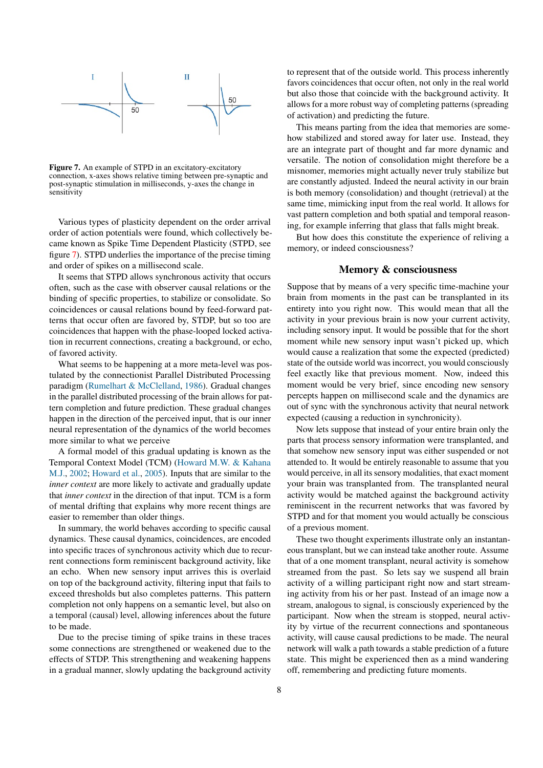<span id="page-7-0"></span>

Figure 7. An example of STPD in an excitatory-excitatory connection, x-axes shows relative timing between pre-synaptic and post-synaptic stimulation in milliseconds, y-axes the change in sensitivity

Various types of plasticity dependent on the order arrival order of action potentials were found, which collectively became known as Spike Time Dependent Plasticity (STPD, see figure [7\)](#page-7-0). STPD underlies the importance of the precise timing and order of spikes on a millisecond scale.

It seems that STPD allows synchronous activity that occurs often, such as the case with observer causal relations or the binding of specific properties, to stabilize or consolidate. So coincidences or causal relations bound by feed-forward patterns that occur often are favored by, STDP, but so too are coincidences that happen with the phase-looped locked activation in recurrent connections, creating a background, or echo, of favored activity.

What seems to be happening at a more meta-level was postulated by the connectionist Parallel Distributed Processing paradigm [\(Rumelhart & McClelland,](#page-10-16) [1986\)](#page-10-16). Gradual changes in the parallel distributed processing of the brain allows for pattern completion and future prediction. These gradual changes happen in the direction of the perceived input, that is our inner neural representation of the dynamics of the world becomes more similar to what we perceive

A formal model of this gradual updating is known as the Temporal Context Model (TCM) [\(Howard M.W. & Kahana](#page-10-17) [M.J.,](#page-10-17) [2002;](#page-10-17) [Howard et al.,](#page-9-15) [2005\)](#page-9-15). Inputs that are similar to the *inner context* are more likely to activate and gradually update that *inner context* in the direction of that input. TCM is a form of mental drifting that explains why more recent things are easier to remember than older things.

In summary, the world behaves according to specific causal dynamics. These causal dynamics, coincidences, are encoded into specific traces of synchronous activity which due to recurrent connections form reminiscent background activity, like an echo. When new sensory input arrives this is overlaid on top of the background activity, filtering input that fails to exceed thresholds but also completes patterns. This pattern completion not only happens on a semantic level, but also on a temporal (causal) level, allowing inferences about the future to be made.

Due to the precise timing of spike trains in these traces some connections are strengthened or weakened due to the effects of STDP. This strengthening and weakening happens in a gradual manner, slowly updating the background activity to represent that of the outside world. This process inherently favors coincidences that occur often, not only in the real world but also those that coincide with the background activity. It allows for a more robust way of completing patterns (spreading of activation) and predicting the future.

This means parting from the idea that memories are somehow stabilized and stored away for later use. Instead, they are an integrate part of thought and far more dynamic and versatile. The notion of consolidation might therefore be a misnomer, memories might actually never truly stabilize but are constantly adjusted. Indeed the neural activity in our brain is both memory (consolidation) and thought (retrieval) at the same time, mimicking input from the real world. It allows for vast pattern completion and both spatial and temporal reasoning, for example inferring that glass that falls might break.

But how does this constitute the experience of reliving a memory, or indeed consciousness?

## Memory & consciousness

Suppose that by means of a very specific time-machine your brain from moments in the past can be transplanted in its entirety into you right now. This would mean that all the activity in your previous brain is now your current activity, including sensory input. It would be possible that for the short moment while new sensory input wasn't picked up, which would cause a realization that some the expected (predicted) state of the outside world was incorrect, you would consciously feel exactly like that previous moment. Now, indeed this moment would be very brief, since encoding new sensory percepts happen on millisecond scale and the dynamics are out of sync with the synchronous activity that neural network expected (causing a reduction in synchronicity).

Now lets suppose that instead of your entire brain only the parts that process sensory information were transplanted, and that somehow new sensory input was either suspended or not attended to. It would be entirely reasonable to assume that you would perceive, in all its sensory modalities, that exact moment your brain was transplanted from. The transplanted neural activity would be matched against the background activity reminiscent in the recurrent networks that was favored by STPD and for that moment you would actually be conscious of a previous moment.

These two thought experiments illustrate only an instantaneous transplant, but we can instead take another route. Assume that of a one moment transplant, neural activity is somehow streamed from the past. So lets say we suspend all brain activity of a willing participant right now and start streaming activity from his or her past. Instead of an image now a stream, analogous to signal, is consciously experienced by the participant. Now when the stream is stopped, neural activity by virtue of the recurrent connections and spontaneous activity, will cause causal predictions to be made. The neural network will walk a path towards a stable prediction of a future state. This might be experienced then as a mind wandering off, remembering and predicting future moments.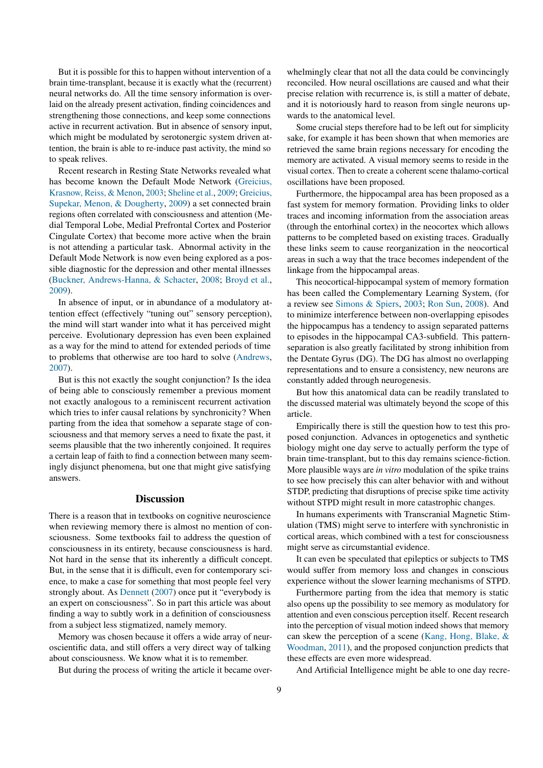But it is possible for this to happen without intervention of a brain time-transplant, because it is exactly what the (recurrent) neural networks do. All the time sensory information is overlaid on the already present activation, finding coincidences and strengthening those connections, and keep some connections active in recurrent activation. But in absence of sensory input, which might be modulated by serotonergic system driven attention, the brain is able to re-induce past activity, the mind so to speak relives.

Recent research in Resting State Networks revealed what has become known the Default Mode Network [\(Greicius,](#page-9-16) [Krasnow, Reiss, & Menon,](#page-9-16) [2003;](#page-9-16) [Sheline et al.,](#page-10-18) [2009;](#page-10-18) [Greicius,](#page-9-17) [Supekar, Menon, & Dougherty,](#page-9-17) [2009\)](#page-9-17) a set connected brain regions often correlated with consciousness and attention (Medial Temporal Lobe, Medial Prefrontal Cortex and Posterior Cingulate Cortex) that become more active when the brain is not attending a particular task. Abnormal activity in the Default Mode Network is now even being explored as a possible diagnostic for the depression and other mental illnesses [\(Buckner, Andrews-Hanna, & Schacter,](#page-9-18) [2008;](#page-9-18) [Broyd et al.,](#page-9-19) [2009\)](#page-9-19).

In absence of input, or in abundance of a modulatory attention effect (effectively "tuning out" sensory perception), the mind will start wander into what it has perceived might perceive. Evolutionary depression has even been explained as a way for the mind to attend for extended periods of time to problems that otherwise are too hard to solve [\(Andrews,](#page-9-20) [2007\)](#page-9-20).

But is this not exactly the sought conjunction? Is the idea of being able to consciously remember a previous moment not exactly analogous to a reminiscent recurrent activation which tries to infer causal relations by synchronicity? When parting from the idea that somehow a separate stage of consciousness and that memory serves a need to fixate the past, it seems plausible that the two inherently conjoined. It requires a certain leap of faith to find a connection between many seemingly disjunct phenomena, but one that might give satisfying answers.

#### **Discussion**

There is a reason that in textbooks on cognitive neuroscience when reviewing memory there is almost no mention of consciousness. Some textbooks fail to address the question of consciousness in its entirety, because consciousness is hard. Not hard in the sense that its inherently a difficult concept. But, in the sense that it is difficult, even for contemporary science, to make a case for something that most people feel very strongly about. As [Dennett](#page-9-21) [\(2007\)](#page-9-21) once put it "everybody is an expert on consciousness". So in part this article was about finding a way to subtly work in a definition of consciousness from a subject less stigmatized, namely memory.

Memory was chosen because it offers a wide array of neuroscientific data, and still offers a very direct way of talking about consciousness. We know what it is to remember.

But during the process of writing the article it became over-

whelmingly clear that not all the data could be convincingly reconciled. How neural oscillations are caused and what their precise relation with recurrence is, is still a matter of debate, and it is notoriously hard to reason from single neurons upwards to the anatomical level.

Some crucial steps therefore had to be left out for simplicity sake, for example it has been shown that when memories are retrieved the same brain regions necessary for encoding the memory are activated. A visual memory seems to reside in the visual cortex. Then to create a coherent scene thalamo-cortical oscillations have been proposed.

Furthermore, the hippocampal area has been proposed as a fast system for memory formation. Providing links to older traces and incoming information from the association areas (through the entorhinal cortex) in the neocortex which allows patterns to be completed based on existing traces. Gradually these links seem to cause reorganization in the neocortical areas in such a way that the trace becomes independent of the linkage from the hippocampal areas.

This neocortical-hippocampal system of memory formation has been called the Complementary Learning System, (for a review see [Simons & Spiers,](#page-10-0) [2003;](#page-10-0) [Ron Sun,](#page-10-19) [2008\)](#page-10-19). And to minimize interference between non-overlapping episodes the hippocampus has a tendency to assign separated patterns to episodes in the hippocampal CA3-subfield. This patternseparation is also greatly facilitated by strong inhibition from the Dentate Gyrus (DG). The DG has almost no overlapping representations and to ensure a consistency, new neurons are constantly added through neurogenesis.

But how this anatomical data can be readily translated to the discussed material was ultimately beyond the scope of this article.

Empirically there is still the question how to test this proposed conjunction. Advances in optogenetics and synthetic biology might one day serve to actually perform the type of brain time-transplant, but to this day remains science-fiction. More plausible ways are *in vitro* modulation of the spike trains to see how precisely this can alter behavior with and without STDP, predicting that disruptions of precise spike time activity without STPD might result in more catastrophic changes.

In humans experiments with Transcranial Magnetic Stimulation (TMS) might serve to interfere with synchronistic in cortical areas, which combined with a test for consciousness might serve as circumstantial evidence.

It can even be speculated that epileptics or subjects to TMS would suffer from memory loss and changes in conscious experience without the slower learning mechanisms of STPD.

Furthermore parting from the idea that memory is static also opens up the possibility to see memory as modulatory for attention and even conscious perception itself. Recent research into the perception of visual motion indeed shows that memory can skew the perception of a scene [\(Kang, Hong, Blake, &](#page-10-20) [Woodman,](#page-10-20) [2011\)](#page-10-20), and the proposed conjunction predicts that these effects are even more widespread.

And Artificial Intelligence might be able to one day recre-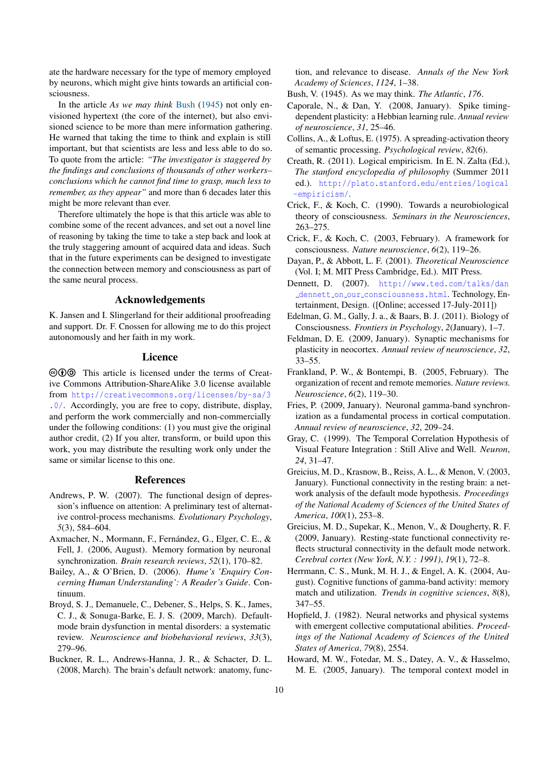ate the hardware necessary for the type of memory employed by neurons, which might give hints towards an artificial consciousness.

In the article *As we may think* [Bush](#page-9-22) [\(1945\)](#page-9-22) not only envisioned hypertext (the core of the internet), but also envisioned science to be more than mere information gathering. He warned that taking the time to think and explain is still important, but that scientists are less and less able to do so. To quote from the article: *"The investigator is staggered by the findings and conclusions of thousands of other workers– conclusions which he cannot find time to grasp, much less to remember, as they appear"* and more than 6 decades later this might be more relevant than ever.

Therefore ultimately the hope is that this article was able to combine some of the recent advances, and set out a novel line of reasoning by taking the time to take a step back and look at the truly staggering amount of acquired data and ideas. Such that in the future experiments can be designed to investigate the connection between memory and consciousness as part of the same neural process.

# Acknowledgements

K. Jansen and I. Slingerland for their additional proofreading and support. Dr. F. Cnossen for allowing me to do this project autonomously and her faith in my work.

## Licence

 $\circledcirc$  This article is licensed under the terms of Creative Commons Attribution-ShareAlike 3.0 license available from [http://creativecommons.org/licenses/by-sa/3](http://creativecommons.org/licenses/by-sa/3.0/) [.0/](http://creativecommons.org/licenses/by-sa/3.0/). Accordingly, you are free to copy, distribute, display, and perform the work commercially and non-commercially under the following conditions: (1) you must give the original author credit, (2) If you alter, transform, or build upon this work, you may distribute the resulting work only under the same or similar license to this one.

## References

- <span id="page-9-20"></span>Andrews, P. W. (2007). The functional design of depression's influence on attention: A preliminary test of alternative control-process mechanisms. *Evolutionary Psychology*, *5*(3), 584–604.
- <span id="page-9-13"></span>Axmacher, N., Mormann, F., Fernández, G., Elger, C. E., & Fell, J. (2006, August). Memory formation by neuronal synchronization. *Brain research reviews*, *52*(1), 170–82.
- <span id="page-9-9"></span>Bailey, A., & O'Brien, D. (2006). *Hume's 'Enquiry Concerning Human Understanding': A Reader's Guide*. Continuum.
- <span id="page-9-19"></span>Broyd, S. J., Demanuele, C., Debener, S., Helps, S. K., James, C. J., & Sonuga-Barke, E. J. S. (2009, March). Defaultmode brain dysfunction in mental disorders: a systematic review. *Neuroscience and biobehavioral reviews*, *33*(3), 279–96.
- <span id="page-9-18"></span>Buckner, R. L., Andrews-Hanna, J. R., & Schacter, D. L. (2008, March). The brain's default network: anatomy, func-

tion, and relevance to disease. *Annals of the New York Academy of Sciences*, *1124*, 1–38.

- <span id="page-9-22"></span>Bush, V. (1945). As we may think. *The Atlantic*, *176*.
- <span id="page-9-1"></span>Caporale, N., & Dan, Y. (2008, January). Spike timingdependent plasticity: a Hebbian learning rule. *Annual review of neuroscience*, *31*, 25–46.
- <span id="page-9-10"></span>Collins, A., & Loftus, E. (1975). A spreading-activation theory of semantic processing. *Psychological review*, *82*(6).
- <span id="page-9-3"></span>Creath, R. (2011). Logical empiricism. In E. N. Zalta (Ed.), *The stanford encyclopedia of philosophy* (Summer 2011 ed.). [http://plato.stanford.edu/entries/logical](http://plato.stanford.edu/entries/logical-empiricism/) [-empiricism/](http://plato.stanford.edu/entries/logical-empiricism/).
- <span id="page-9-4"></span>Crick, F., & Koch, C. (1990). Towards a neurobiological theory of consciousness. *Seminars in the Neurosciences*, 263–275.
- <span id="page-9-5"></span>Crick, F., & Koch, C. (2003, February). A framework for consciousness. *Nature neuroscience*, *6*(2), 119–26.
- <span id="page-9-11"></span>Dayan, P., & Abbott, L. F. (2001). *Theoretical Neuroscience* (Vol. I; M. MIT Press Cambridge, Ed.). MIT Press.
- <span id="page-9-21"></span>Dennett, D. (2007). [http://www.ted.com/talks/dan](http://www.ted.com/talks/dan_dennett_on_our_consciousness.html) dennett on our [consciousness.html](http://www.ted.com/talks/dan_dennett_on_our_consciousness.html). Technology, Entertainment, Design. ([Online; accessed 17-July-2011])
- <span id="page-9-6"></span>Edelman, G. M., Gally, J. a., & Baars, B. J. (2011). Biology of Consciousness. *Frontiers in Psychology*, *2*(January), 1–7.
- <span id="page-9-0"></span>Feldman, D. E. (2009, January). Synaptic mechanisms for plasticity in neocortex. *Annual review of neuroscience*, *32*, 33–55.
- <span id="page-9-2"></span>Frankland, P. W., & Bontempi, B. (2005, February). The organization of recent and remote memories. *Nature reviews. Neuroscience*, *6*(2), 119–30.
- <span id="page-9-7"></span>Fries, P. (2009, January). Neuronal gamma-band synchronization as a fundamental process in cortical computation. *Annual review of neuroscience*, *32*, 209–24.
- <span id="page-9-12"></span>Gray, C. (1999). The Temporal Correlation Hypothesis of Visual Feature Integration : Still Alive and Well. *Neuron*, *24*, 31–47.
- <span id="page-9-16"></span>Greicius, M. D., Krasnow, B., Reiss, A. L., & Menon, V. (2003, January). Functional connectivity in the resting brain: a network analysis of the default mode hypothesis. *Proceedings of the National Academy of Sciences of the United States of America*, *100*(1), 253–8.
- <span id="page-9-17"></span>Greicius, M. D., Supekar, K., Menon, V., & Dougherty, R. F. (2009, January). Resting-state functional connectivity reflects structural connectivity in the default mode network. *Cerebral cortex (New York, N.Y. : 1991)*, *19*(1), 72–8.
- <span id="page-9-8"></span>Herrmann, C. S., Munk, M. H. J., & Engel, A. K. (2004, August). Cognitive functions of gamma-band activity: memory match and utilization. *Trends in cognitive sciences*, *8*(8), 347–55.
- <span id="page-9-14"></span>Hopfield, J. (1982). Neural networks and physical systems with emergent collective computational abilities. *Proceedings of the National Academy of Sciences of the United States of America*, *79*(8), 2554.
- <span id="page-9-15"></span>Howard, M. W., Fotedar, M. S., Datey, A. V., & Hasselmo, M. E. (2005, January). The temporal context model in